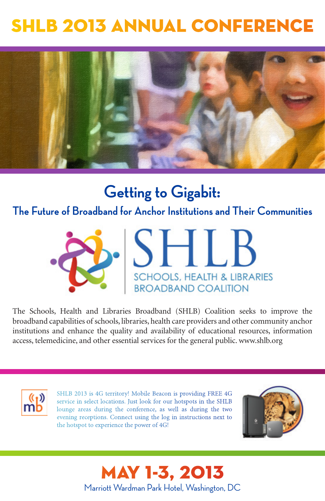# SHLB 2013 ANNUAL CONFERENCE



# **Getting to Gigabit:**

**The Future of Broadband for Anchor Institutions and Their Communities**



The Schools, Health and Libraries Broadband (SHLB) Coalition seeks to improve the broadband capabilities of schools, libraries, health care providers and other community anchor institutions and enhance the quality and availability of educational resources, information access, telemedicine, and other essential services for the general public. www.shlb.org



SHLB 2013 is 4G territory! Mobile Beacon is providing FREE 4G service in select locations. Just look for our hotspots in the SHLB lounge areas during the conference, as well as during the two evening receptions. Connect using the log in instructions next to the hotspot to experience the power of 4G!



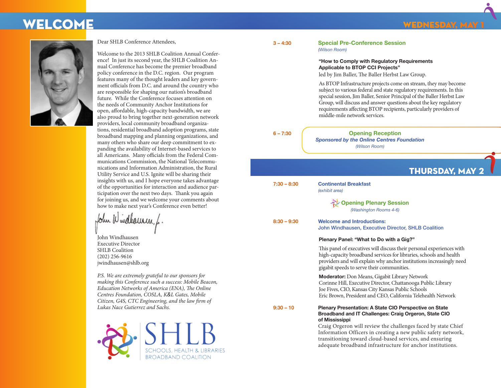## welcome



Dear SHLB Conference Attendees,

Welcome to the 2013 SHLB Coalition Annual Conference! In just its second year, the SHLB Coalition Annual Conference has become the premier broadband policy conference in the D.C. region. Our program features many of the thought leaders and key government officials from D.C. and around the country who are responsible for shaping our nation's broadband future. While the Conference focuses attention on the needs of Community Anchor Institutions for open, affordable, high-capacity bandwidth, we are also proud to bring together next-generation network providers, local community broadband organizations, residential broadband adoption programs, state broadband mapping and planning organizations, and many others who share our deep commitment to expanding the availability of Internet-based services to all Americans. Many officials from the Federal Communications Commission, the National Telecommunications and Information Administration, the Rural Utility Service and U.S. Ignite will be sharing their insights with us, and I hope everyone takes advantage of the opportunities for interaction and audience participation over the next two days. Thank you again for joining us, and we welcome your comments about how to make next year's Conference even better!

John Wulleurn, L

John Windhausen Executive Director SHLB Coalition (202) 256-9616 jwindhausen@shlb.org

*P.S. We are extremely grateful to our sponsors for making this Conference such a success: Mobile Beacon, Education Networks of America (ENA), The Online Centres Foundation, COSLA, K&L Gates, Mobile Citizen, G4S, CTC Engineering, and the law firm of Lukas Nace Gutierrez and Sachs.*



| $\sim$ | u, |
|--------|----|

**3 – 4:30 Special Pre-Conference Session** *(Wilson Room)*

#### **"How to Comply with Regulatory Requirements Applicable to BTOP CCI Projects"**

led by Jim Baller, The Baller Herbst Law Group.

 As BTOP Infrastructure projects come on stream, they may become subject to various federal and state regulatory requirements. In this special session, Jim Baller, Senior Principal of the Baller Herbst Law Group, will discuss and answer questions about the key regulatory requirements affecting BTOP recipients, particularly providers of middle-mile network services.

| ____ |  |  |
|------|--|--|

**6 – 7:30 Opening Reception** *Sponsored by the Online Centres Foundation (Wilson Room)*

|               | <b>THURSDAY, MAY 2</b>                                                                                                                                                                                                                                                                                                         |
|---------------|--------------------------------------------------------------------------------------------------------------------------------------------------------------------------------------------------------------------------------------------------------------------------------------------------------------------------------|
| $7:30 - 8:30$ | <b>Continental Breakfast</b><br>(exhibit area)                                                                                                                                                                                                                                                                                 |
|               | <b>Opening Plenary Session</b><br>(Washington Rooms 4-6)                                                                                                                                                                                                                                                                       |
| $8:30 - 9:30$ | <b>Welcome and Introductions:</b><br>John Windhausen, Executive Director, SHLB Coalition                                                                                                                                                                                                                                       |
|               | Plenary Panel: "What to Do with a Gig?"                                                                                                                                                                                                                                                                                        |
|               | This panel of executives will discuss their personal experiences with<br>high-capacity broadband services for libraries, schools and health<br>providers and will explain why anchor institutions increasingly need<br>gigabit speeds to serve their communities.                                                              |
|               | <b>Moderator:</b> Don Means, Gigabit Library Network<br>Corinne Hill, Executive Director, Chattanooga Public Library<br>Joe Fives, CIO, Kansas City Kansas Public Schools<br>Eric Brown, President and CEO, California Telehealth Network                                                                                      |
| $9:30 - 10$   | Plenary Presentation: A State CIO Perspective on State<br>Broadband and IT Challenges: Craig Orgeron, State CIO<br>of Mississippi<br>Craig Orgeron will review the challenges faced by state Chief<br>Information Officers in creating a new public safety network,<br>transitioning toward cloud-based services, and ensuring |

adequate broadband infrastructure for anchor institutions.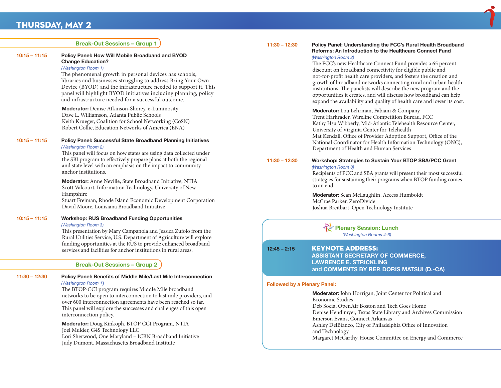## Thursday, May 2

|                 | <b>Break-Out Sessions - Group 1</b>                                                                                                                                                                                                                                                                                                                                                                                          | $11:30 - 12:30$ | Policy Panel: Understanding the FCC's Rural Health Broadband                                                                                                                                                                                                                                                                                                                                                                                                                                                                                                                   |
|-----------------|------------------------------------------------------------------------------------------------------------------------------------------------------------------------------------------------------------------------------------------------------------------------------------------------------------------------------------------------------------------------------------------------------------------------------|-----------------|--------------------------------------------------------------------------------------------------------------------------------------------------------------------------------------------------------------------------------------------------------------------------------------------------------------------------------------------------------------------------------------------------------------------------------------------------------------------------------------------------------------------------------------------------------------------------------|
| $10:15 - 11:15$ | Policy Panel: How Will Mobile Broadband and BYOD<br><b>Change Education?</b><br>(Washington Room 1)<br>The phenomenal growth in personal devices has schools,<br>libraries and businesses struggling to address Bring Your Own<br>Device (BYOD) and the infrastructure needed to support it. This<br>panel will highlight BYOD initiatives including planning, policy<br>and infrastructure needed for a successful outcome. |                 | <b>Reforms: An Introduction to the Healthcare Connect Fund</b><br>(Washington Room 2)<br>The FCC's new Healthcare Connect Fund provides a 65 percent<br>discount on broadband connectivity for eligible public and<br>not-for-profit health care providers, and fosters the creation and<br>growth of broadband networks connecting rural and urban health<br>institutions. The panelists will describe the new program and the<br>opportunities it creates, and will discuss how broadband can help<br>expand the availability and quality of health care and lower its cost. |
| $10:15 - 11:15$ | Moderator: Denise Atkinson-Shorey, e-Luminosity<br>Dave L. Williamson, Atlanta Public Schools<br>Keith Krueger, Coalition for School Networking (CoSN)<br>Robert Collie, Education Networks of America (ENA)<br>Policy Panel: Successful State Broadband Planning Initiatives<br>(Washington Room 2)                                                                                                                         |                 | Moderator: Lou Lehrman, Fabiani & Company<br>Trent Harkrader, Wireline Competition Bureau, FCC<br>Kathy Hsu Wibberly, Mid-Atlantic Telehealth Resource Center,<br>University of Virginia Center for Telehealth<br>Mat Kendall, Office of Provider Adoption Support, Office of the<br>National Coordinator for Health Information Technology (ONC),<br>Department of Health and Human Services                                                                                                                                                                                  |
|                 | This panel will focus on how states are using data collected under<br>the SBI program to effectively prepare plans at both the regional<br>and state level with an emphasis on the impact to community<br>anchor institutions.                                                                                                                                                                                               | $11:30 - 12:30$ | Workshop: Strategies to Sustain Your BTOP SBA/PCC Grant<br>(Washington Room 3)<br>Recipients of PCC and SBA grants will present their most successful                                                                                                                                                                                                                                                                                                                                                                                                                          |
|                 | <b>Moderator:</b> Anne Neville, State Broadband Initiative, NTIA<br>Scott Valcourt, Information Technology, University of New                                                                                                                                                                                                                                                                                                |                 | strategies for sustaining their programs when BTOP funding comes<br>to an end.                                                                                                                                                                                                                                                                                                                                                                                                                                                                                                 |
|                 | Hampshire<br>Stuart Freiman, Rhode Island Economic Development Corporation<br>David Moore, Louisiana Broadband Initiative                                                                                                                                                                                                                                                                                                    |                 | Moderator: Sean McLaughlin, Access Humboldt<br>McCrae Parker, ZeroDivide<br>Joshua Breitbart, Open Technology Institute                                                                                                                                                                                                                                                                                                                                                                                                                                                        |
| $10:15 - 11:15$ | <b>Workshop: RUS Broadband Funding Opportunities</b><br>(Washington Room 3)<br>This presentation by Mary Campanola and Jessica Zufolo from the<br>Rural Utilities Service, U.S. Department of Agriculture will explore                                                                                                                                                                                                       |                 | <b>Plenary Session: Lunch</b><br>(Washington Rooms 4-6)                                                                                                                                                                                                                                                                                                                                                                                                                                                                                                                        |
|                 | funding opportunities at the RUS to provide enhanced broadband<br>services and facilities for anchor institutions in rural areas.                                                                                                                                                                                                                                                                                            | $12:45 - 2:15$  | <b>KEYNOTE ADDRESS:</b><br><b>ASSISTANT SECRETARY OF COMMERCE,</b>                                                                                                                                                                                                                                                                                                                                                                                                                                                                                                             |
|                 | <b>Break-Out Sessions - Group 2</b>                                                                                                                                                                                                                                                                                                                                                                                          |                 | <b>LAWRENCE E. STRICKLING</b><br>and COMMENTS BY REP. DORIS MATSUI (D.-CA)                                                                                                                                                                                                                                                                                                                                                                                                                                                                                                     |
| $11:30 - 12:30$ | <b>Policy Panel: Benefits of Middle Mile/Last Mile Interconnection</b>                                                                                                                                                                                                                                                                                                                                                       |                 |                                                                                                                                                                                                                                                                                                                                                                                                                                                                                                                                                                                |

The BTOP-CCI program requires Middle Mile broadband networks to be open to interconnection to last mile providers, and over 600 interconnection agreements have been reached so far. This panel will explore the successes and challenges of this open interconnection policy.

*(Washington Room 1***)**

**Moderator:** Doug Kinkoph, BTOP CCI Program, NTIA Joel Mulder, G4S Technology LLC Lori Sherwood, One Maryland – ICBN Broadband Initiative Judy Dumont, Massachusetts Broadband Institute

### **Followed by a Plenary Panel:**

**Moderator:** John Horrigan, Joint Center for Political and Economic Studies Deb Socia, OpenAir Boston and Tech Goes Home Denise Hendlmyer, Texas State Library and Archives Commission Emerson Evans, Connect Arkansas Ashley DelBianco, City of Philadelphia Office of Innovation and Technology Margaret McCarthy, House Committee on Energy and Commerce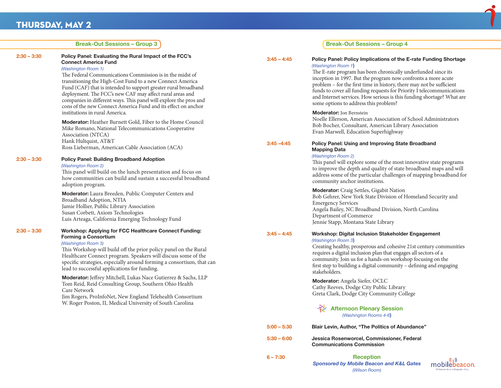## Thursday, May 2

|               | <b>Break-Out Sessions - Group 3</b>                                                                                                                                                                                                                                                                                                                                                                                                                                                                                                                                                                                                                                                                                                                                 |                                                                                                                                                                                                                                                                                                                                                                                                                                                                                                                    | <b>Break-Out Sessions - Group 4</b>                                                                                                                                                                                                                                                                                                                                                                                                                                                                                                                                                                                                                                                                                                                                           |
|---------------|---------------------------------------------------------------------------------------------------------------------------------------------------------------------------------------------------------------------------------------------------------------------------------------------------------------------------------------------------------------------------------------------------------------------------------------------------------------------------------------------------------------------------------------------------------------------------------------------------------------------------------------------------------------------------------------------------------------------------------------------------------------------|--------------------------------------------------------------------------------------------------------------------------------------------------------------------------------------------------------------------------------------------------------------------------------------------------------------------------------------------------------------------------------------------------------------------------------------------------------------------------------------------------------------------|-------------------------------------------------------------------------------------------------------------------------------------------------------------------------------------------------------------------------------------------------------------------------------------------------------------------------------------------------------------------------------------------------------------------------------------------------------------------------------------------------------------------------------------------------------------------------------------------------------------------------------------------------------------------------------------------------------------------------------------------------------------------------------|
| 2:30 - 3:30   | Policy Panel: Evaluating the Rural Impact of the FCC's<br><b>Connect America Fund</b><br>(Washington Room 1)<br>The Federal Communications Commission is in the midst of<br>transitioning the High-Cost Fund to a new Connect America<br>Fund (CAF) that is intended to support greater rural broadband<br>deployment. The FCC's new CAF may affect rural areas and<br>companies in different ways. This panel will explore the pros and<br>cons of the new Connect America Fund and its effect on anchor<br>institutions in rural America.<br>Moderator: Heather Burnett Gold, Fiber to the Home Council<br>Mike Romano, National Telecommunications Cooperative<br>Association (NTCA)<br>Hank Hultquist, AT&T<br>Ross Lieberman, American Cable Association (ACA) | $3:45 - 4:45$<br>$3:45 - 4:45$                                                                                                                                                                                                                                                                                                                                                                                                                                                                                     | Policy Panel: Policy Implications of the E-rate Funding Shortage<br>(Washington Room 1)<br>The E-rate program has been chronically underfunded since its<br>inception in 1997. But the program now confronts a more acute<br>problem - for the first time in history, there may not be sufficient<br>funds to cover all funding requests for Priority I telecommunications<br>and Internet services. How serious is this funding shortage? What are<br>some options to address this problem?<br><b>Moderator:</b> Jon Bernstein<br>Noelle Ellerson, American Association of School Administrators<br>Bob Bocher, Consultant, American Library Association<br>Evan Marwell, Education Superhighway<br>Policy Panel: Using and Improving State Broadband<br><b>Mapping Data</b> |
| 2:30 – 3:30   | <b>Policy Panel: Building Broadband Adoption</b><br>(Washington Room 2)<br>This panel will build on the lunch presentation and focus on<br>how communities can build and sustain a successful broadband<br>adoption program.                                                                                                                                                                                                                                                                                                                                                                                                                                                                                                                                        |                                                                                                                                                                                                                                                                                                                                                                                                                                                                                                                    | (Washington Room 2)<br>This panel will explore some of the most innovative state programs<br>to improve the depth and quality of state broadband maps and will<br>address some of the particular challenges of mapping broadband for<br>community anchor institutions.                                                                                                                                                                                                                                                                                                                                                                                                                                                                                                        |
|               | Moderator: Laura Breeden, Public Computer Centers and<br>Broadband Adoption, NTIA<br>Jamie Hollier, Public Library Association<br>Susan Corbett, Axiom Technologies<br>Luis Arteaga, California Emerging Technology Fund                                                                                                                                                                                                                                                                                                                                                                                                                                                                                                                                            |                                                                                                                                                                                                                                                                                                                                                                                                                                                                                                                    | Moderator: Craig Settles, Gigabit Nation<br>Bob Gehrer, New York State Division of Homeland Security and<br><b>Emergency Services</b><br>Angela Bailey, NC Broadband Division, North Carolina<br>Department of Commerce<br>Jennie Stapp, Montana State Library                                                                                                                                                                                                                                                                                                                                                                                                                                                                                                                |
| $2:30 - 3:30$ | Workshop: Applying for FCC Healthcare Connect Funding:<br><b>Forming a Consortium</b><br>(Washington Room 3)<br>This Workshop will build off the prior policy panel on the Rural<br>Healthcare Connect program. Speakers will discuss some of the<br>specific strategies, especially around forming a consortium, that can<br>lead to successful applications for funding.<br>Moderator: Jeffrey Mitchell, Lukas Nace Gutierrez & Sachs, LLP<br>Tom Reid, Reid Consulting Group, Southern Ohio Health<br>Care Network<br>Jim Rogers, ProInfoNet, New England Telehealth Consortium<br>W. Roger Poston, II, Medical University of South Carolina                                                                                                                     | Workshop: Digital Inclusion Stakeholder Engagement<br>$3:45 - 4:45$<br>(Washington Room 3)<br>Creating healthy, prosperous and cohesive 21st century communities<br>requires a digital inclusion plan that engages all sectors of a<br>community. Join us for a hands-on workshop focusing on the<br>first step to building a digital community - defining and engaging<br>stakeholders.<br>Moderator: Angela Siefer, OCLC<br>Cathy Reeves, Dodge City Public Library<br>Greta Clark, Dodge City Community College |                                                                                                                                                                                                                                                                                                                                                                                                                                                                                                                                                                                                                                                                                                                                                                               |
|               |                                                                                                                                                                                                                                                                                                                                                                                                                                                                                                                                                                                                                                                                                                                                                                     | $5:00 - 5:30$                                                                                                                                                                                                                                                                                                                                                                                                                                                                                                      | <b>Afternoon Plenary Session</b><br>(Washington Rooms 4-6)<br>Blair Levin, Author, "The Politics of Abundance"                                                                                                                                                                                                                                                                                                                                                                                                                                                                                                                                                                                                                                                                |
|               |                                                                                                                                                                                                                                                                                                                                                                                                                                                                                                                                                                                                                                                                                                                                                                     | $5:30 - 6:00$                                                                                                                                                                                                                                                                                                                                                                                                                                                                                                      | Jessica Rosenworcel, Commissioner, Federal<br><b>Communications Commission</b>                                                                                                                                                                                                                                                                                                                                                                                                                                                                                                                                                                                                                                                                                                |
|               |                                                                                                                                                                                                                                                                                                                                                                                                                                                                                                                                                                                                                                                                                                                                                                     | $6 - 7:30$                                                                                                                                                                                                                                                                                                                                                                                                                                                                                                         | <b>Reception</b><br>mobilebeacon.<br><b>Sponsored by Mobile Beacon and K&amp;L Gates</b><br>(Wilson Room)<br>4G Internet Access. 4 Nonprofits. 4 Less                                                                                                                                                                                                                                                                                                                                                                                                                                                                                                                                                                                                                         |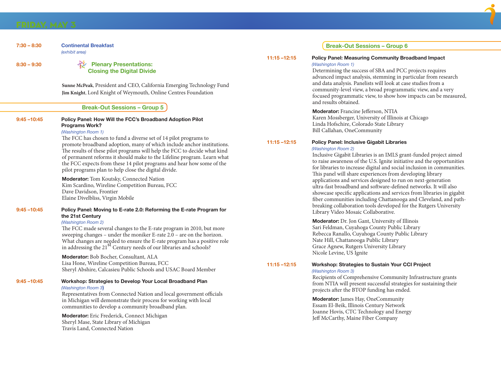| 7:30 - 8:30    | <b>Continental Breakfast</b><br>(exhibit area)                                                                                                      |                 |  |
|----------------|-----------------------------------------------------------------------------------------------------------------------------------------------------|-----------------|--|
|                |                                                                                                                                                     | 11:15 -12:15    |  |
| $8:30 - 9:30$  | <b>Plenary Presentations:</b>                                                                                                                       |                 |  |
|                | <b>Closing the Digital Divide</b>                                                                                                                   |                 |  |
|                | Sunne McPeak, President and CEO, California Emerging Technology Fund                                                                                |                 |  |
|                | Jim Knight, Lord Knight of Weymouth, Online Centres Foundation                                                                                      |                 |  |
|                | <b>Break-Out Sessions - Group 5</b>                                                                                                                 |                 |  |
| $9:45 - 10:45$ | Policy Panel: How Will the FCC's Broadband Adoption Pilot<br><b>Programs Work?</b>                                                                  |                 |  |
|                | (Washington Room 1)                                                                                                                                 |                 |  |
|                | The FCC has chosen to fund a diverse set of 14 pilot programs to                                                                                    | $11:15 - 12:15$ |  |
|                | promote broadband adoption, many of which include anchor institutions.<br>The results of these pilot programs will help the FCC to decide what kind |                 |  |
|                | of permanent reforms it should make to the Lifeline program. Learn what                                                                             |                 |  |
|                | the FCC expects from these 14 pilot programs and hear how some of the                                                                               |                 |  |
|                | pilot programs plan to help close the digital divide.                                                                                               |                 |  |
|                | <b>Moderator:</b> Tom Koutsky, Connected Nation<br>Kim Scardino, Wireline Competition Bureau, FCC                                                   |                 |  |
|                | Dave Davidson, Frontier                                                                                                                             |                 |  |
|                | Elaine Divelbliss, Virgin Mobile                                                                                                                    |                 |  |
| $9:45 - 10:45$ | Policy Panel: Moving to E-rate 2.0: Reforming the E-rate Program for                                                                                |                 |  |
|                | the 21st Century                                                                                                                                    |                 |  |
|                | (Washington Room 2)<br>The FCC made several changes to the E-rate program in 2010, but more                                                         |                 |  |
|                | sweeping changes - under the moniker E-rate 2.0 - are on the horizon.                                                                               |                 |  |
|                | What changes are needed to ensure the E-rate program has a positive role                                                                            |                 |  |
|                | in addressing the 21 <sup>St</sup> Century needs of our libraries and schools?                                                                      |                 |  |
|                | <b>Moderator:</b> Bob Bocher, Consultant, ALA<br>Lisa Hone, Wireline Competition Bureau, FCC                                                        |                 |  |
|                | Sheryl Abshire, Calcasieu Public Schools and USAC Board Member                                                                                      | $11:15 - 12:15$ |  |
| $9:45 - 10:45$ | Workshop: Strategies to Develop Your Local Broadband Plan                                                                                           |                 |  |
|                | (Washington Room 3)                                                                                                                                 |                 |  |
|                | Representatives from Connected Nation and local government officials                                                                                |                 |  |
|                | in Michigan will demonstrate their process for working with local<br>communities to develop a community broadband plan.                             |                 |  |
|                | <b>Moderator:</b> Eric Frederick, Connect Michigan                                                                                                  |                 |  |
|                | Sheryl Mase, State Library of Michigan                                                                                                              |                 |  |
|                | Travis Land, Connected Nation                                                                                                                       |                 |  |

#### **Break-Out Sessions – Group 6**

#### **Policy Panel: Measuring Community Broadband Impact** *(Washington Room 1)*

Determining the success of SBA and PCC projects requires advanced impact analysis, stemming in particular from research and data analysis. Panelists will look at case studies from a community-level view, a broad programmatic view, and a very focused programmatic view, to show how impacts can be measured, and results obtained.

**Moderator:** Francine Jefferson, NTIA Karen Mossberger, University of Illinois at Chicago Linda Hofschire, Colorado State Library Bill Callahan, OneCommunity

### **11:15 –12:15 Policy Panel: Inclusive Gigabit Libraries**

#### *(Washington Room 2)*

Inclusive Gigabit Libraries is an IMLS grant-funded project aimed to raise awareness of the U.S. Ignite initiative and the opportunities for libraries to increase digital and social inclusion in communities. This panel will share experiences from developing library applications and services designed to run on next-generation ultra-fast broadband and software-defined networks. It will also showcase specific applications and services from libraries in gigabit fiber communities including Chattanooga and Cleveland, and pathbreaking collaboration tools developed for the Rutgers University Library Video Mosaic Collaborative.

**Moderator:** Dr. Jon Gant, University of Illinois Sari Feldman, Cuyahoga County Public Library Rebecca Ranallo, Cuyahoga County Public Library Nate Hill, Chattanooga Public Library Grace Agnew, Rutgers University Library Nicole Levine, US Ignite

### **11:15 –12:15 Workshop: Strategies to Sustain Your CCI Project**

#### *(Washington Room 3)*

Recipients of Comprehensive Community Infrastructure grants from NTIA will present successful strategies for sustaining their projects after the BTOP funding has ended.

**Moderator:** James Hay, OneCommunity Essam El-Beik, Illinois Century Network Joanne Hovis, CTC Technology and Energy Jeff McCarthy, Maine Fiber Company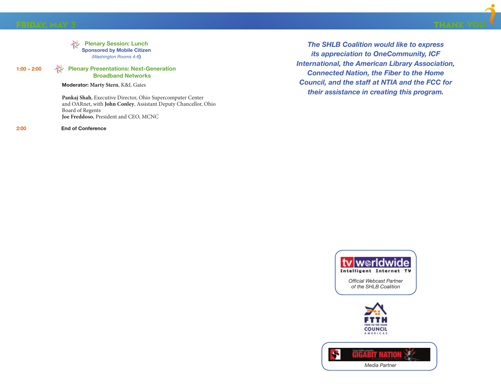



#### **1:00 – 2:00 Plenary Presentations: Next-Generation Broadband Networks**

**Moderator: Marty Stern**, K&L Gates

**Pankaj Shah**, Executive Director, Ohio Supercomputer Center and OARnet, with **John Conley**, Assistant Deputy Chancellor, Ohio Board of Regents **Joe Freddoso**, President and CEO, MCNC

**2:00 End of Conference**

*The SHLB Coalition would like to express its appreciation to OneCommunity, ICF International, the American Library Association, Connected Nation, the Fiber to the Home Council, and the staff at NTIA and the FCC for their assistance in creating this program.*



*Official Webcast Partner of the SHLB Coalition*